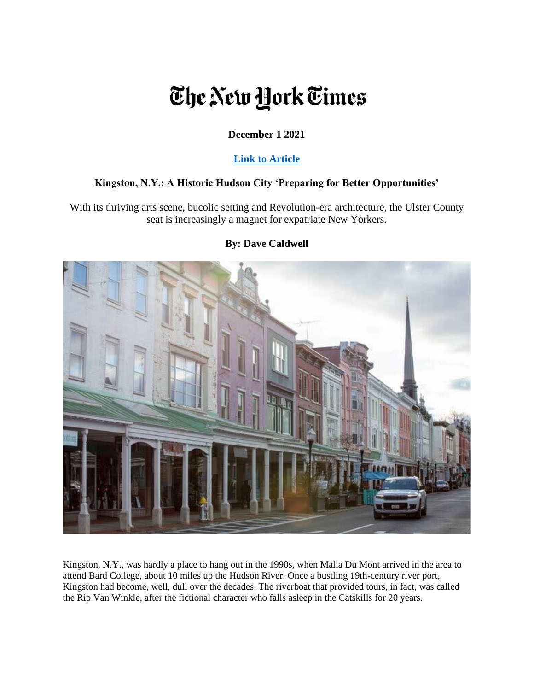# The New York Times

# **December 1 2021**

## **[Link to Article](https://www.nytimes.com/2021/12/01/realestate/kingston-ny-a-historic-hudson-city-preparing-for-better-opportunities.html)**

## **Kingston, N.Y.: A Historic Hudson City 'Preparing for Better Opportunities'**

With its thriving arts scene, bucolic setting and Revolution-era architecture, the Ulster County seat is increasingly a magnet for expatriate New Yorkers.



## **By: Dave Caldwell**

Kingston, N.Y., was hardly a place to hang out in the 1990s, when Malia Du Mont arrived in the area to attend Bard College, about 10 miles up the Hudson River. Once a bustling 19th-century river port, Kingston had become, well, dull over the decades. The riverboat that provided tours, in fact, was called the Rip Van Winkle, after the fictional character who falls asleep in the Catskills for 20 years.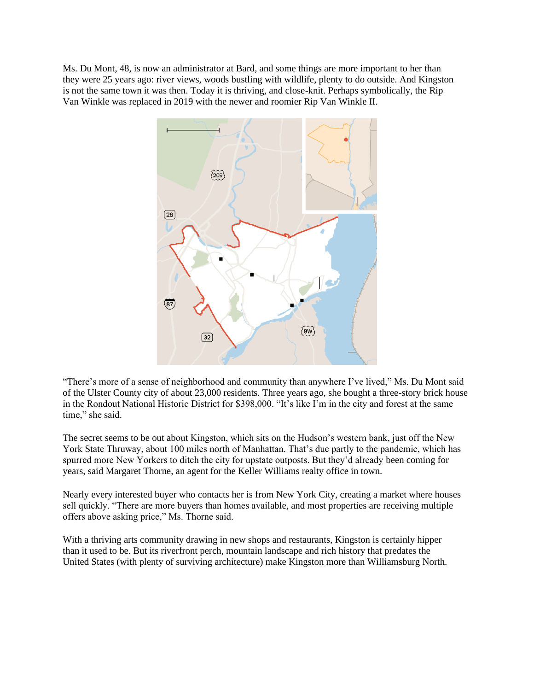Ms. Du Mont, 48, is now an administrator at Bard, and some things are more important to her than they were 25 years ago: river views, woods bustling with wildlife, plenty to do outside. And Kingston is not the same town it was then. Today it is thriving, and close-knit. Perhaps symbolically, the Rip Van Winkle was replaced in 2019 with the newer and roomier Rip Van Winkle II.



"There's more of a sense of neighborhood and community than anywhere I've lived," Ms. Du Mont said of the Ulster County city of about 23,000 residents. Three years ago, she bought a three-story brick house in the Rondout National Historic District for \$398,000. "It's like I'm in the city and forest at the same time," she said.

The secret seems to be out about Kingston, which sits on the Hudson's western bank, just off the New York State Thruway, about 100 miles north of Manhattan. That's due partly to the pandemic, which has spurred more New Yorkers to ditch the city for upstate outposts. But they'd already been coming for years, said Margaret Thorne, an agent for the Keller Williams realty office in town.

Nearly every interested buyer who contacts her is from New York City, creating a market where houses sell quickly. "There are more buyers than homes available, and most properties are receiving multiple offers above asking price," Ms. Thorne said.

With a thriving arts community drawing in new shops and restaurants, Kingston is certainly hipper than it used to be. But its riverfront perch, mountain landscape and rich history that predates the United States (with plenty of surviving architecture) make Kingston more than Williamsburg North.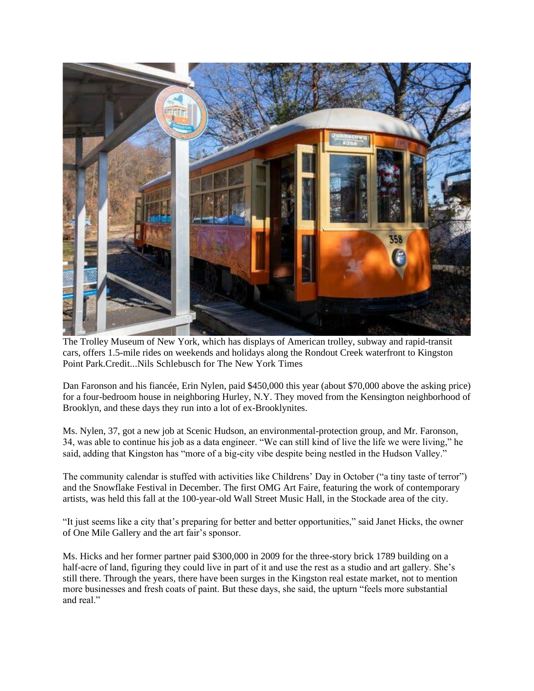

The Trolley Museum of New York, which has displays of American trolley, subway and rapid-transit cars, offers 1.5-mile rides on weekends and holidays along the Rondout Creek waterfront to Kingston Point Park.Credit...Nils Schlebusch for The New York Times

Dan Faronson and his fiancée, Erin Nylen, paid \$450,000 this year (about \$70,000 above the asking price) for a four-bedroom house in neighboring Hurley, N.Y. They moved from the Kensington neighborhood of Brooklyn, and these days they run into a lot of ex-Brooklynites.

Ms. Nylen, 37, got a new job at Scenic Hudson, an environmental-protection group, and Mr. Faronson, 34, was able to continue his job as a data engineer. "We can still kind of live the life we were living," he said, adding that Kingston has "more of a big-city vibe despite being nestled in the Hudson Valley."

The community calendar is stuffed with activities like Childrens' Day in October ("a tiny taste of terror") and the Snowflake Festival in December. The first OMG Art Faire, featuring the work of contemporary artists, was held this fall at the 100-year-old Wall Street Music Hall, in the Stockade area of the city.

"It just seems like a city that's preparing for better and better opportunities," said Janet Hicks, the owner of One Mile Gallery and the art fair's sponsor.

Ms. Hicks and her former partner paid \$300,000 in 2009 for the three-story brick 1789 building on a half-acre of land, figuring they could live in part of it and use the rest as a studio and art gallery. She's still there. Through the years, there have been surges in the Kingston real estate market, not to mention more businesses and fresh coats of paint. But these days, she said, the upturn "feels more substantial and real."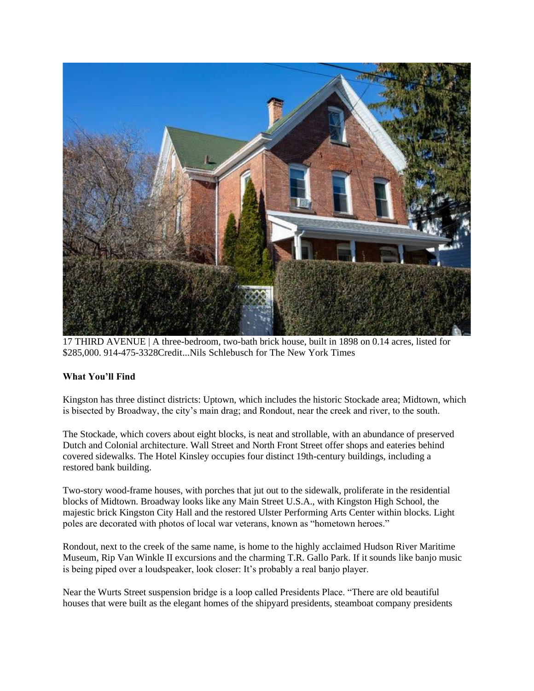

17 THIRD AVENUE | A three-bedroom, two-bath brick house, built in 1898 on 0.14 acres, listed for \$285,000. 914-475-3328Credit...Nils Schlebusch for The New York Times

## **What You'll Find**

Kingston has three distinct districts: Uptown, which includes the historic Stockade area; Midtown, which is bisected by Broadway, the city's main drag; and Rondout, near the creek and river, to the south.

The Stockade, which covers about eight blocks, is neat and strollable, with an abundance of preserved Dutch and Colonial architecture. Wall Street and North Front Street offer shops and eateries behind covered sidewalks. The Hotel Kinsley occupies four distinct 19th-century buildings, including a restored bank building.

Two-story wood-frame houses, with porches that jut out to the sidewalk, proliferate in the residential blocks of Midtown. Broadway looks like any Main Street U.S.A., with Kingston High School, the majestic brick Kingston City Hall and the restored Ulster Performing Arts Center within blocks. Light poles are decorated with photos of local war veterans, known as "hometown heroes."

Rondout, next to the creek of the same name, is home to the highly acclaimed Hudson River Maritime Museum, Rip Van Winkle II excursions and the charming T.R. Gallo Park. If it sounds like banjo music is being piped over a loudspeaker, look closer: It's probably a real banjo player.

Near the Wurts Street suspension bridge is a loop called Presidents Place. "There are old beautiful houses that were built as the elegant homes of the shipyard presidents, steamboat company presidents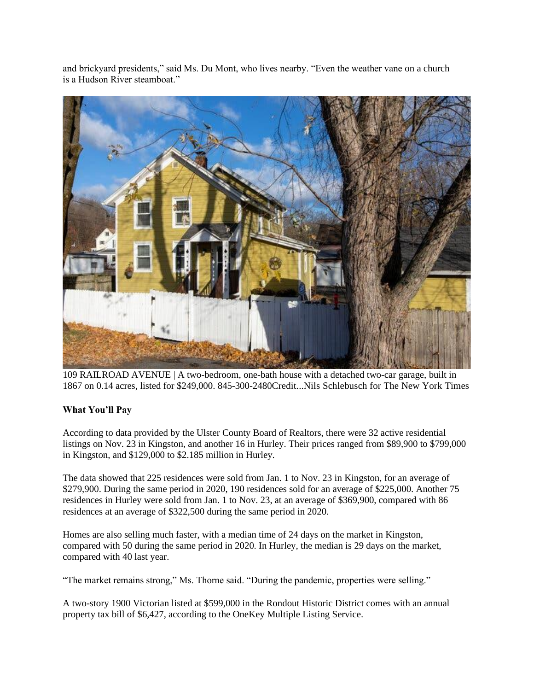and brickyard presidents," said Ms. Du Mont, who lives nearby. "Even the weather vane on a church is a Hudson River steamboat."



109 RAILROAD AVENUE | A two-bedroom, one-bath house with a detached two-car garage, built in 1867 on 0.14 acres, listed for \$249,000. 845-300-2480Credit...Nils Schlebusch for The New York Times

## **What You'll Pay**

According to data provided by the Ulster County Board of Realtors, there were 32 active residential listings on Nov. 23 in Kingston, and another 16 in Hurley. Their prices ranged from \$89,900 to \$799,000 in Kingston, and \$129,000 to \$2.185 million in Hurley.

The data showed that 225 residences were sold from Jan. 1 to Nov. 23 in Kingston, for an average of \$279,900. During the same period in 2020, 190 residences sold for an average of \$225,000. Another 75 residences in Hurley were sold from Jan. 1 to Nov. 23, at an average of \$369,900, compared with 86 residences at an average of \$322,500 during the same period in 2020.

Homes are also selling much faster, with a median time of 24 days on the market in Kingston, compared with 50 during the same period in 2020. In Hurley, the median is 29 days on the market, compared with 40 last year.

"The market remains strong," Ms. Thorne said. "During the pandemic, properties were selling."

A two-story 1900 Victorian listed at \$599,000 in the Rondout Historic District comes with an annual property tax bill of \$6,427, according to the OneKey Multiple Listing Service.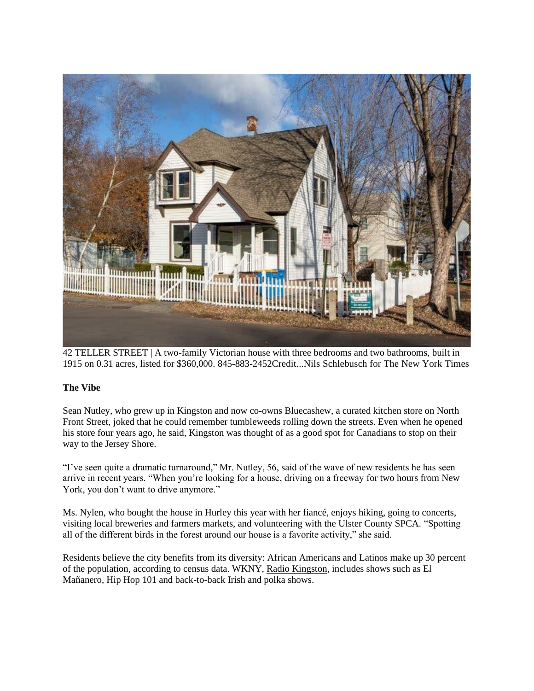

42 TELLER STREET | A two-family Victorian house with three bedrooms and two bathrooms, built in 1915 on 0.31 acres, listed for \$360,000. 845-883-2452Credit...Nils Schlebusch for The New York Times

## **The Vibe**

Sean Nutley, who grew up in Kingston and now co-owns Bluecashew, a curated kitchen store on North Front Street, joked that he could remember tumbleweeds rolling down the streets. Even when he opened his store four years ago, he said, Kingston was thought of as a good spot for Canadians to stop on their way to the Jersey Shore.

"I've seen quite a dramatic turnaround," Mr. Nutley, 56, said of the wave of new residents he has seen arrive in recent years. "When you're looking for a house, driving on a freeway for two hours from New York, you don't want to drive anymore."

Ms. Nylen, who bought the house in Hurley this year with her fiancé, enjoys hiking, going to concerts, visiting local breweries and farmers markets, and volunteering with the Ulster County SPCA. "Spotting all of the different birds in the forest around our house is a favorite activity," she said.

Residents believe the city benefits from its diversity: African Americans and Latinos make up 30 percent of the population, according to census data. WKNY, Radio [Kingston,](https://radiokingston.org/en/schedule) includes shows such as El Mañanero, Hip Hop 101 and back-to-back Irish and polka shows.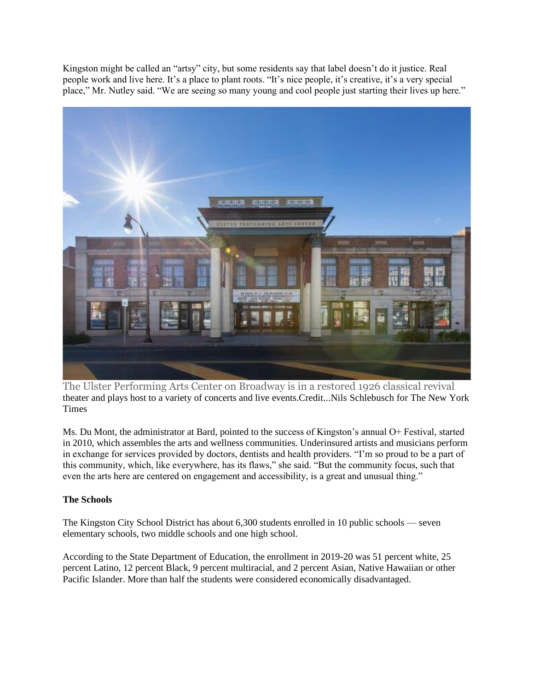Kingston might be called an "artsy" city, but some residents say that label doesn't do it justice. Real people work and live here. It's a place to plant roots. "It's nice people, it's creative, it's a very special place," Mr. Nutley said. "We are seeing so many young and cool people just starting their lives up here."



The Ulster Performing Arts Center on Broadway is in a restored 1926 classical revival theater and plays host to a variety of concerts and live events.Credit...Nils Schlebusch for The New York Times

Ms. Du Mont, the administrator at Bard, pointed to the success of Kingston's annual O+ Festival, started in 2010, which assembles the arts and wellness communities. Underinsured artists and musicians perform in exchange for services provided by doctors, dentists and health providers. "I'm so proud to be a part of this community, which, like everywhere, has its flaws," she said. "But the community focus, such that even the arts here are centered on engagement and accessibility, is a great and unusual thing."

## **The Schools**

The Kingston City School District has about 6,300 students enrolled in 10 public schools — seven elementary schools, two middle schools and one high school.

According to the State Department of Education, the enrollment in 2019-20 was 51 percent white, 25 percent Latino, 12 percent Black, 9 percent multiracial, and 2 percent Asian, Native Hawaiian or other Pacific Islander. More than half the students were considered economically disadvantaged.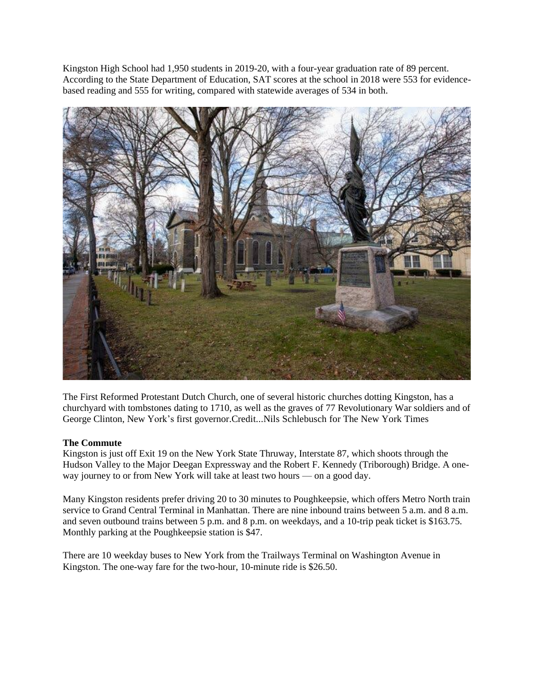Kingston High School had 1,950 students in 2019-20, with a four-year graduation rate of 89 percent. According to the State Department of Education, SAT scores at the school in 2018 were 553 for evidencebased reading and 555 for writing, compared with statewide averages of 534 in both.



The First Reformed Protestant Dutch Church, one of several historic churches dotting Kingston, has a churchyard with tombstones dating to 1710, as well as the graves of 77 Revolutionary War soldiers and of George Clinton, New York's first governor.Credit...Nils Schlebusch for The New York Times

#### **The Commute**

Kingston is just off Exit 19 on the New York State Thruway, Interstate 87, which shoots through the Hudson Valley to the Major Deegan Expressway and the Robert F. Kennedy (Triborough) Bridge. A oneway journey to or from New York will take at least two hours — on a good day.

Many Kingston residents prefer driving 20 to 30 minutes to Poughkeepsie, which offers Metro North train service to Grand Central Terminal in Manhattan. There are nine inbound trains between 5 a.m. and 8 a.m. and seven outbound trains between 5 p.m. and 8 p.m. on weekdays, and a 10-trip peak ticket is \$163.75. Monthly parking at the Poughkeepsie station is \$47.

There are 10 weekday buses to New York from the Trailways Terminal on Washington Avenue in Kingston. The one-way fare for the two-hour, 10-minute ride is \$26.50.